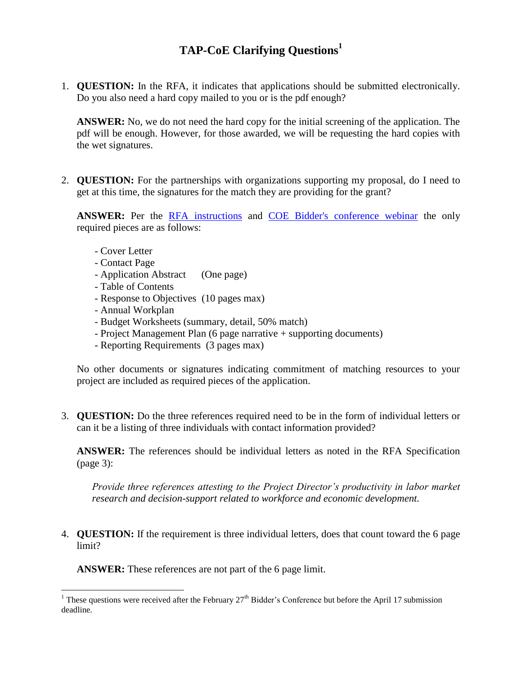## **TAP-CoE Clarifying Questions<sup>1</sup>**

1. **QUESTION:** In the RFA, it indicates that applications should be submitted electronically. Do you also need a hard copy mailed to you or is the pdf enough?

**ANSWER:** No, we do not need the hard copy for the initial screening of the application. The pdf will be enough. However, for those awarded, we will be requesting the hard copies with the wet signatures.

2. **QUESTION:** For the partnerships with organizations supporting my proposal, do I need to get at this time, the signatures for the match they are providing for the grant?

**ANSWER:** Per the [RFA instructions](http://extranet.cccco.edu/Portals/1/WED/WEDDRFA/TA-COE/1-RFA-TechAssistance_COE%20v11%20021513%20Final.pdf) and [COE Bidder's conference webinar](http://extranet.cccco.edu/Portals/1/WED/WEDDRFA/Webinars/COE4LMR-BiddersConferenceFinalwFollow-up.pptx) the only required pieces are as follows:

- Cover Letter
- Contact Page

 $\overline{a}$ 

- Application Abstract (One page)
- Table of Contents
- Response to Objectives (10 pages max)
- Annual Workplan
- Budget Worksheets (summary, detail, 50% match)
- Project Management Plan (6 page narrative + supporting documents)
- Reporting Requirements (3 pages max)

No other documents or signatures indicating commitment of matching resources to your project are included as required pieces of the application.

3. **QUESTION:** Do the three references required need to be in the form of individual letters or can it be a listing of three individuals with contact information provided?

**ANSWER:** The references should be individual letters as noted in the RFA Specification (page 3):

*Provide three references attesting to the Project Director's productivity in labor market research and decision-support related to workforce and economic development.*

4. **QUESTION:** If the requirement is three individual letters, does that count toward the 6 page limit?

**ANSWER:** These references are not part of the 6 page limit.

<sup>&</sup>lt;sup>1</sup> These questions were received after the February  $27<sup>th</sup>$  Bidder's Conference but before the April 17 submission deadline.